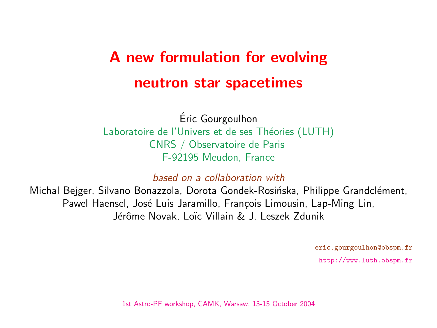# <span id="page-0-0"></span>A new formulation for evolving neutron star spacetimes

Eric Gourgoulhon ´ Laboratoire de l'Univers et de ses Théories (LUT CNRS / Observatoire de Paris F-92195 Meudon, France

based on a collaboration with

Michal Bejger, Silvano Bonazzola, Dorota Gondek-Rosińska, Phi Pawel Haensel, José Luis Jaramillo, François Limousin, L Jérôme Novak, Loïc Villain & J. Leszek Zduni

 $\epsilon$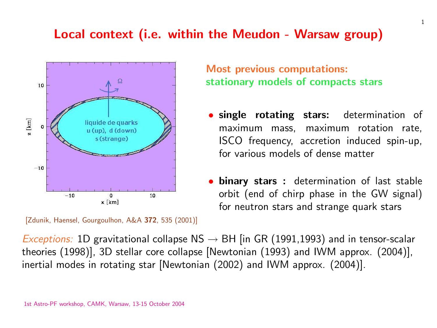#### Local context (i.e. within the Meudon - War



Most previous computa stationary models of co

- single rotating sta maximum mass, ma ISCO frequency, accretion for various models of
- binary stars : deter orbit (end of chirp ph for neutron stars and :

[Zdunik, Haensel, Gourgoulhon, A&A 372, 535 (2001)]

Exceptions: 1D gravitational collapse NS  $\rightarrow$  BH [in GR (1991,1993) theories  $(1998)$ ], 3D stellar core collapse [Newtonian  $(1993)$  and I' inertial modes in rotating star [Newtonian (2002) and IWM appro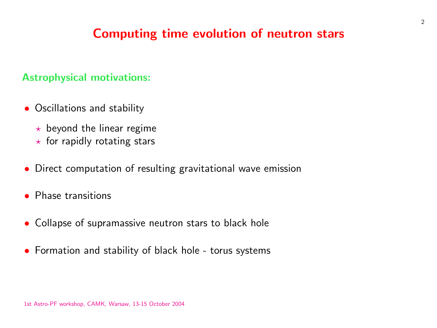## Computing time evolution of neutron stars

#### Astrophysical motivations:

- Oscillations and stability
	- $\star$  beyond the linear regime
	- $\star$  for rapidly rotating stars
- Direct computation of resulting gravitational wave emission
- Phase transitions
- Collapse of supramassive neutron stars to black hole
- Formation and stability of black hole torus systems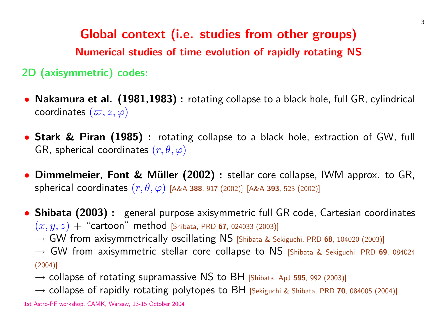## Global context (i.e. studies from other g Numerical studies of time evolution of rapidly rot

2D (axisymmetric) codes:

- Nakamura et al. (1981,1983) : rotating collapse to a black ho coordinates  $(\varpi, z, \varphi)$
- Stark & Piran (1985) : ro[tating collapse to a black](http://publish.aps.org/abstract/PRD/v67/e024033) hole,  $\epsilon$ GR, spherical coordinates  $(r, \theta, \varphi)$
- Dimmelmeier, Font & Müller (2002) : stellar core collapse, [spher](http://publish.aps.org/abstract/PRD/v69/e084024)ical coordinates  $(r, \theta, \varphi)$  [A&A 388, 917 (2002)] [A&A 393, 523 (2002)
- Shibata (2003) : general purpose axisymmetric full GR code,  $(x, y, z)$  + "cartoon" method [Shibata, PRD 67, 024033 (2003)]

 $\rightarrow$  GW from axisymmetrically oscillating NS [Shibata & Sekiguchi, PRI

 $\rightarrow$  GW from axisymmetric stellar core collapse to NS [Shibata & (2004)]

- $\rightarrow$  collapse of rotating supramassive NS to BH [Shibata, ApJ 595, 99
- $\rightarrow$  collapse of rapidly rotating polytopes to BH [Sekiguchi & Shibata,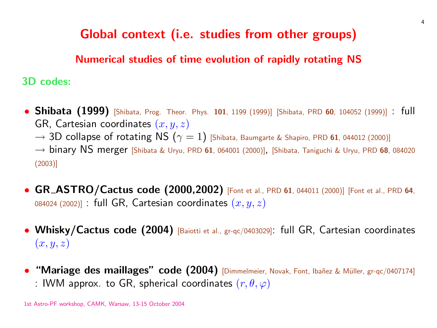# Glob[al context \(i.e. studies from](#page-0-0) other good Numerical [studies of time e](http://publish.aps.org/abstract/PRD/v61/e064001)volution of rapidly rot

#### 3[D code](http://publish.aps.org/abstract/PRD/v68/e084020)s:

- Shibata  $(1999)$  [Shibata, Prog. Theor. Phys. 101, 1199 (1999)] [Shibata, PR [GR, Cartes](http://publish.aps.org/abstract/PRD/v65/e084024)ian coordinates  $(x, y, z)$  $\rightarrow$  3D collapse of rotating NS ( $\gamma=1)$  [Shibata, Baumgarte & Shapiro, P  $\rightarrow$  binary NS merger [Shibata & Uryu, PRD 61[, 064001 \(2000\)\]](http://arXiv.org/abs/gr-qc/0403029), [Shibata, Tanig (2003)]
- $GR\_ASTRO/Cactus code (2000, 2002)$  [\[Font et al., PRD](http://arXiv.org/abs/gr-qc/0407174) 61, 044011 084024 (2002)] : full GR, Cartesian coordinates  $(x, y, z)$
- Whisky/Cactus code  $(2004)$  [Baiotti et al., gr-qc/0403029]: full GR,  $(x, y, z)$
- "Mariage des maillages" code (2004) [Dimmelmeier, Novak, Font, Ib : IWM approx. to GR, spherical coordinates  $(r, \theta, \varphi)$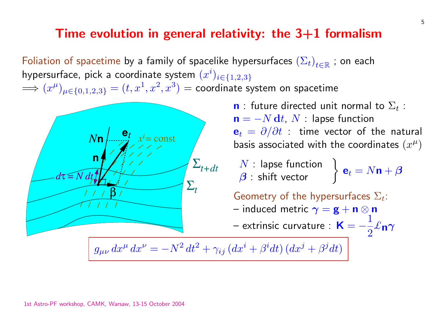#### Time evolution in general relativity: the  $3+1$  formalism

Foliation of spacetime by a family of spacelike hypersurfaces  $(\Sigma_t)_{t\in\mathbb{R}}$  ; on each hypersurface, pick a coordinate system  $(x^i)_{i \in \{1,2,3\}}$  $\implies (x^\mu)_{\mu \in \{0,1,2,3\}} = (t,x^1,x^2,x^3) =$  coordinate system on spacetime



**n** : future directed unit normal to  $\Sigma_t$  :  $\mathbf{n} = -N \, \mathbf{d} t$ ,  $N$  : lapse function  ${\bf e}_t = \partial/\partial t$  : time vector of the natural basis associated with the coordinates  $(x^{\mu})$ 

 $N$  : lapse function  $N$  : lapse function  $\beta$  : shift vector  $\int$  $\mathbf{e}_t = N \mathbf{n} + \boldsymbol{\beta}$ 

Geometry of the hypersurfaces  $\Sigma_t$ :

$$
-\text{ induced metric }\boldsymbol{\gamma}=\mathbf{g}+\mathbf{n}\otimes\mathbf{n}
$$

– extrinsic curvature :  $\mathsf{K}=-$ 1 2  $\ell$ n $\gamma$ 

 $g_{\mu\nu} dx^{\mu} dx^{\nu} = -N^2 dt^2 + \gamma_{ij} (dx^i + \beta^i dt) (dx^j + \beta^j dt)$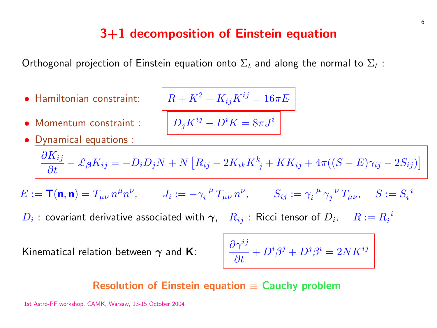## 3+1 decomposition of Einstein equation

Orthogonal projection of Einstein equation onto  $\Sigma_t$  and along the normal to  $\Sigma_t$ :

- Hamiltonian constraint:
- Momentum constraint :

• Dynamical equations :

$$
\frac{R + K^2 - K_{ij}K^{ij} = 16\pi E}{D_j K^{ij} - D^i K = 8\pi J^i}
$$

 $\partial K_{ij}$  $\frac{\partial A}{\partial t} - \pounds_{\boldsymbol{\beta}} K_{ij} = -D_i D_j N + N_i$ £  $R_{ij} - 2K_{ik}K_{j}^{k} + KK_{ij} + 4\pi((S - E)\gamma_{ij} - 2S_{ij})$ l<br>E

 $E := \mathsf{T}(\mathsf{n},\mathsf{n}) = T_{\mu\nu} n^{\mu} n^{\nu}, \qquad J_i := - \gamma_i^{\mu} T_{\mu\nu} n^{\nu}, \qquad S_{ij} := \gamma_i^{\mu}$  $\overline{\gamma}_i^{\;\;\mu} \, \gamma_j^{\;\;\nu} \, T_{\mu\nu}, \;\;\;\;\; S := S_i^{\;\;i}$ i

 $D_i$  : covariant derivative associated with  $\boldsymbol{\gamma}, \quad R_{ij}$  : Ricci tensor of  $D_i, \quad R := R_i^{\phantom{i}i}$ i

Kinematical relation between  $\gamma$  and **K**:

$$
\frac{\partial \gamma^{ij}}{\partial t} + D^i \beta^j + D^j \beta^i = 2 N K^{ij}
$$

#### Resolution of Einstein equation  $\equiv$  Cauchy problem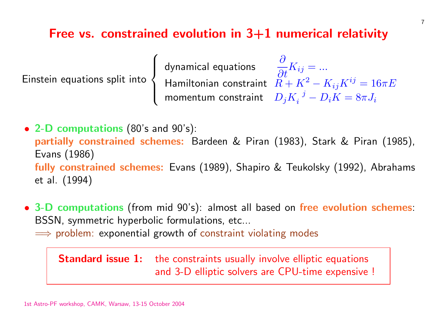## Free vs. constrained evolution in  $3+1$  numerical relativity

Einstein equations split into

dynamical equations  $\frac{\partial}{\partial x}$ 

 $\frac{\partial}{\partial t}K_{ij} = ...$ Hamiltonian constraint  $\stackrel{\sim}{R} + K^2 - K_{ij} K^{ij} = 16 \pi E$ momentum constraint  $\left\| {D_j{K_i}} \right\|^j - D_iK = 8\pi J_i$ 

- 2-D computations (80's and 90's): partially constrained schemes: Bardeen & Piran (1983), Stark & Piran (1985), Evans (1986) fully constrained schemes: Evans (1989), Shapiro & Teukolsky (1992), Abrahams et al. (1994)
- 3-D computations (from mid 90's): almost all based on free evolution schemes: BSSN, symmetric hyperbolic formulations, etc...
	- $\implies$  problem: exponential growth of constraint violating modes

 $\overline{ }$ 

 $\left\lceil \right\rceil$ 

 $\begin{matrix} \phantom{-} \end{matrix}$ 

**Standard issue 1:** the constraints usually involve elliptic equations and 3-D elliptic solvers are CPU-time expensive !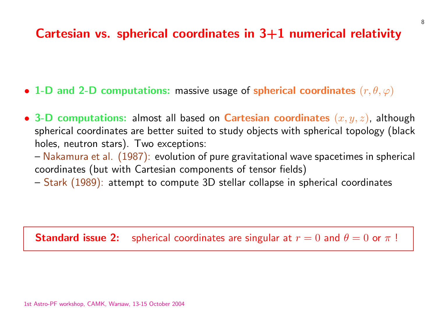## Cartesian vs. spherical coordinates in  $3+1$  numerical relativity

- 1-D and 2-D computations: massive usage of spherical coordinates  $(r, \theta, \varphi)$
- 3-D computations: almost all based on Cartesian coordinates  $(x, y, z)$ , although spherical coordinates are better suited to study objects with spherical topology (black holes, neutron stars). Two exceptions:
	- Nakamura et al. (1987): evolution of pure gravitational wave spacetimes in spherical coordinates (but with Cartesian components of tensor fields)
	- Stark (1989): attempt to compute 3D stellar collapse in spherical coordinates

**Standard issue 2:** spherical coordinates are singular at  $r = 0$  and  $\theta = 0$  or  $\pi$ !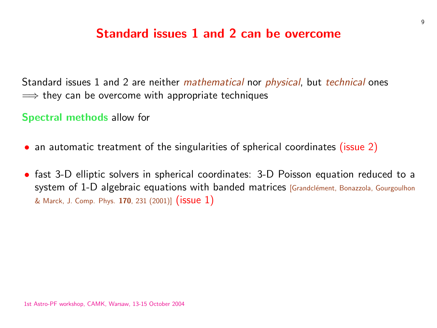## Standard issues 1 and 2 can be overcoment

Standard issues 1 and 2 are neither *mathematical* nor *physical*, bu  $\implies$  they can be overcome with appropriate techniques

S[pectral methods](http://dx.doi.org/10.1006/jcph.2001.6734) allow for

- an automatic treatment of the singularities of spherical coordin
- fast 3-D elliptic solvers in spherical coordinates: 3-D Poisson  $\epsilon$ system of 1-D algebraic equations with banded matrices [Grandcle & Marck, J. Comp. Phys. 170, 231 (2001)]  $(issue 1)$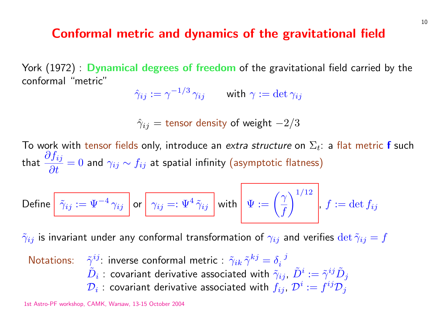#### Conformal metric and dynamics of the gravitational field

York (1972) : Dynamical degrees of freedom of the gravitational field carried by the conformal "metric"

$$
\hat{\gamma}_{ij}:=\gamma^{-1/3}\,\gamma_{ij}\qquad\text{ with }\gamma:=\det\gamma_{ij}
$$

$$
\hat{\gamma}_{ij} = \text{tensor density of weight} - 2/3
$$

To work with tensor fields only, introduce an extra structure on  $\Sigma_t$ : a flat metric f such that  $\frac{\partial f_{ij}}{\partial x}$  $\frac{\partial^2 J_{ij}}{\partial t}=0$  and  $\gamma_{ij}\sim f_{ij}$  at spatial infinity (asymptotic flatness)

$$
\text{Define } \boxed{\text{$\tilde{\gamma}_{ij} := \Psi^{-4} \, \gamma_{ij}$} \text{ or } \boxed{\text{$\gamma_{ij} = : \Psi^{4} \, \tilde{\gamma}_{ij}$ with} \text{ with } \boxed{\Psi := \left(\frac{\gamma}{f}\right)^{1/12} }, $f := \det f_{ij}$}
$$

 $\tilde{\gamma}_{ij}$  is invariant under any conformal transformation of  $\gamma_{ij}$  and verifies  $\det \tilde{\gamma}_{ij} = f$ 

Notations: 
$$
\tilde{\gamma}^{ij}
$$
 inverse conformal metric:  $\tilde{\gamma}_{ik}\tilde{\gamma}^{kj} = \delta_i^j$   
\n $\tilde{D}_i$  covariant derivative associated with  $\tilde{\gamma}_{ij}$ ,  $\tilde{D}^i := \tilde{\gamma}^{ij}\tilde{D}_j$   
\n $\mathcal{D}_i$  covariant derivative associated with  $f_{ij}$ ,  $\mathcal{D}^i := f^{ij}\mathcal{D}_j$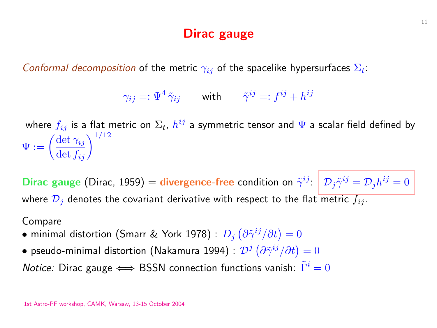#### Dirac gauge

Conformal decomposition of the metric  $\gamma_{ij}$  of the spacelike hypersurfaces  $\Sigma_t$ :

$$
\gamma_{ij} =: \Psi^4 \, \tilde{\gamma}_{ij} \qquad \text{with} \qquad \tilde{\gamma}^{ij} =: f^{ij} + h^{ij}
$$

where  $f_{ij}$  is a flat metric on  $\Sigma_t$ ,  $h^{ij}$  a symmetric tensor and  $\Psi$  a scalar field defined by where  $\Psi := \left( \begin{array}{c} 1 & 0 \\ 0 & 1 \end{array} \right)$  $\det \gamma_{ij}$  $\frac{\det \gamma_{ij}}{\det f_{ij}}\biggr)^{1/12}$ 

Dirac gauge (Dirac, 1959) = divergence-free condition on  $\tilde{\gamma}^{ij}$ :  $\left| D_j \tilde{\gamma}^{ij} = D_j h^{ij} = 0 \right|$ where  $\mathcal{D}_j$  denotes the covariant derivative with respect to the flat metric  $f_{ij}$ .

**Compare** 

- $\bullet$  minimal distortion (Smarr & York 1978) :  $D_j$ ¡  $\partial \tilde{\gamma}^{ij}/\partial t\big) = 0$
- pseudo-minimal distortion (Nakamura 1994) :  $\mathcal{D}^j$  (  $\partial \tilde{\gamma}^{ij}/\partial t\big) = 0$

*Notice:* Dirac gauge  $\Longleftrightarrow$  BSSN connection functions vanish:  $\tilde{\Gamma}^i = 0$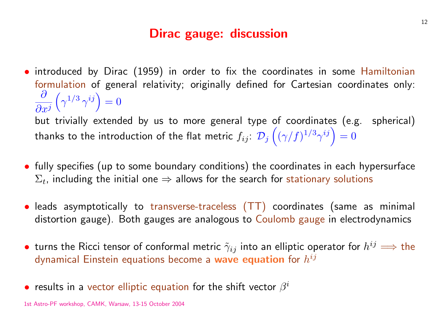#### Dirac gauge: discussion

• introduced by Dirac (1959) in order to fix the coordinates in some Hamiltonian formulation of general relativity; originally defined for Cartesian coordinates only:  $\partial$  $\partial x^j$ lu<br>Z  $\gamma^{1/3}\, \gamma$  $\frac{1}{ij}$  $= 0$ 

but trivially extended by us to more general type of coordinates (e.g. spherical) thanks to the introduction of the flat metric  $f_{ij}$ :  $\mathcal{D}_{j}\left((\gamma/f)^{1/3}\gamma\right)$ tes $\big\{ij}\big\}$  $= 0$ 

- fully specifies (up to some boundary conditions) the coordinates in each hypersurface  $\Sigma_t$ , including the initial one  $\Rightarrow$  allows for the search for stationary solutions
- leads asymptotically to transverse-traceless (TT) coordinates (same as minimal distortion gauge). Both gauges are analogous to Coulomb gauge in electrodynamics
- $\bullet\,$  turns the Ricci tensor of conformal metric  $\tilde\gamma_{ij}$  into an elliptic operator for  $h^{ij}\Longrightarrow$  the dynamical Einstein equations become a wave equation for  $h^{ij}$
- results in a vector elliptic equation for the shift vector  $\beta^i$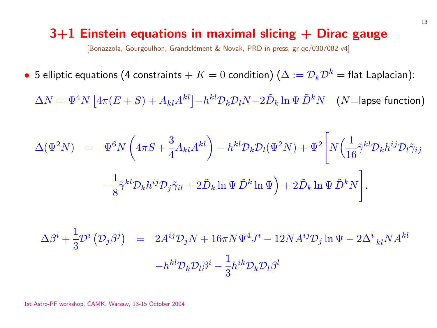## <span id="page-13-0"></span> $3+1$  Einstein equations in maximal slicing  $+$ [Bonazzola, Gourgoulhon, Grandclément & Novak, PRD in press, gr-qc/03

 $\bullet \,$  5 elliptic equations (4 constraints  $+$   $K=0$  condition) ( $\Delta:=\mathcal{D}_k$  $\Delta N = \Psi^4 N$ £  $4\pi(E+S)+A_{kl}A$  $kl$ ]  $-h^{kl}\mathcal{D}_k\mathcal{D}_lN-2\tilde{D}_k\ln\Psi\,\tilde{D}^k.$ 

$$
\Delta(\Psi^2 N) = \Psi^6 N \left( 4\pi S + \frac{3}{4} A_{kl} A^{kl} \right) - h^{kl} \mathcal{D}_k \mathcal{D}_l (\Psi^2 N) + \Psi
$$

$$
- \frac{1}{8} \tilde{\gamma}^{kl} \mathcal{D}_k h^{ij} \mathcal{D}_j \tilde{\gamma}_{il} + 2 \tilde{D}_k \ln \Psi \tilde{D}^k \ln \Psi \right) + 2 \tilde{D}_k \ln \Psi
$$

$$
\Delta\beta^{i} + \frac{1}{3}\mathcal{D}^{i}(\mathcal{D}_{j}\beta^{j}) = 2A^{ij}\mathcal{D}_{j}N + 16\pi N\Psi^{4}J^{i} - 12NA^{ij}\mathcal{D}
$$

$$
-h^{kl}\mathcal{D}_{k}\mathcal{D}_{l}\beta^{i} - \frac{1}{3}h^{ik}\mathcal{D}_{k}\mathcal{D}_{l}\beta^{l}
$$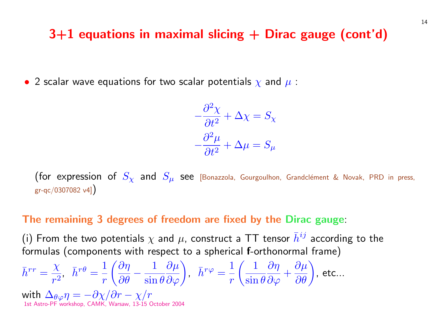#### $3+1$  equations in maximal slicing  $+$  Dirac gauge

• 2 scalar wave equations for two scalar potentials  $\chi$  and  $\mu$  :

$$
-\frac{\partial^2 \chi}{\partial t^2} + \Delta \chi = S_{\chi}
$$

$$
-\frac{\partial^2 \mu}{\partial t^2} + \Delta \mu = S_{\mu}
$$

(for expression of  $S_\chi$  and  $S_\mu$  see [Bonazzola, Gourgoulhon, Grandclém gr-qc/0307082 v4])

#### The remaining 3 degrees of freedom are fixed by the Dirac g

(i) From the two potentials  $\chi$  and  $\mu$ , construct a TT tensor  $\bar{h}^{ij}$  ac formulas (components with respect to a spherical f-orthonormal fr

10111d is a 100101 and b

\n
$$
\bar{h}^{rr} = \frac{\chi}{r^2}, \quad \bar{h}^{r\theta} = \frac{1}{r} \left( \frac{\partial \eta}{\partial \theta} - \frac{1}{\sin \theta} \frac{\partial \mu}{\partial \varphi} \right), \quad \bar{h}^{r\varphi} = \frac{1}{r} \left( \frac{1}{\sin \theta} \frac{\partial \eta}{\partial \varphi} + \frac{\partial \mu}{\partial \theta} \right),
$$
\nwith 
$$
\Delta_{\theta\varphi}\eta = -\partial \chi/\partial r - \chi/r
$$
  
\n1st Astro-PF workshop, CAMK, Warsaw, 13-15 October 2004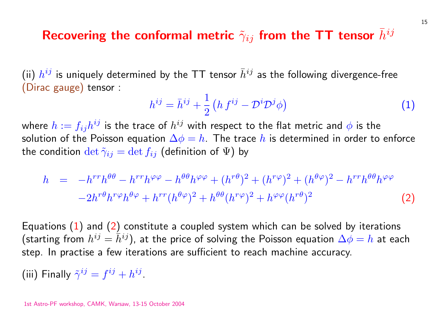#### Recovering the conformal metric  $\tilde{\gamma}_{ij}$  from the T

(ii)  $h^{ij}$  is uniquely determined by the TT tensor  $\bar{h}^{ij}$  as the following (Dirac gauge) tensor :

$$
h^{ij} = \bar{h}^{ij} + \frac{1}{2} \left( h \, f^{ij} - \mathcal{D}^i \mathcal{D}^j \phi \right)
$$

where  $h:=f_{ij}h^{ij}$  is the trace of  $h^{ij}$  with respect to the flat metri solution of [th](#page-13-0)e Poisson equation  $\Delta \phi = h$  The trace h is determin the condition  $\det \tilde{\gamma}_{ij} = \det f_{ij}$  (definition of  $\Psi$ ) by

$$
h = -h^{rr}h^{\theta\theta} - h^{rr}h^{\varphi\varphi} - h^{\theta\theta}h^{\varphi\varphi} + (h^{r\theta})^2 + (h^{r\varphi})^2 + (h^{\theta\theta})^2 - 2h^{r\theta}h^{r\varphi}h^{\theta\varphi} + h^{rr}(h^{\theta\varphi})^2 + h^{\theta\theta}(h^{r\varphi})^2 + h^{\varphi\varphi}(h^{r\theta})^2
$$

Equations  $(1)$  and  $(2)$  constitute a coupled system which can be s (starting from  $h^{ij} = \overline{h}^{ij}$ ), at the price of solving the Poisson equation step. In practise a few iterations are sufficient to reach machine a

(iii) Finally  $\tilde{\gamma}^{ij} = f^{ij} + h^{ij}$ .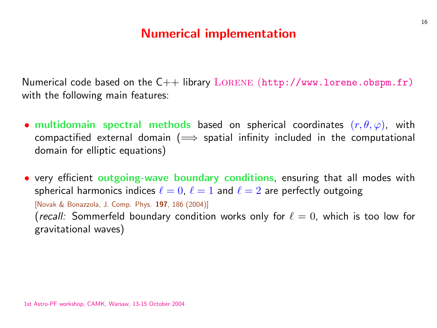#### Numerical implementation

Numerical code based on the  $C++$  library  $L{\rm ORENE}$  (http://www. with the following main features:

- [multidomain spectral methods](http://dx.doi.org/10.1016/j.jcp.2003.11.027) based on spherical coord compactified external domain ( $\implies$  spatial infinity included domain for elliptic equations)
- very efficient outgoing-wave boundary conditions, ensuring spherical harmonics indices  $\ell = 0$ ,  $\ell = 1$  and  $\ell = 2$  are perfectly [Novak & Bonazzola, J. Comp. Phys. 197, 186 (2004)] (recall: Sommerfeld boundary condition works only for  $\ell = 0$ , gravitational waves)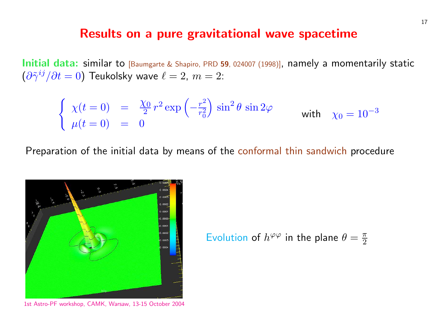#### Results on a pure gravitational wave spa

Initial data: similar to [Baumgarte & Shapiro, PRD 59, 024007 (1998)], namely  $\left(\frac{\partial \tilde{\gamma}^{ij}}{\partial t} = 0\right)$  Teukolsky wave  $\ell = 2$ ,  $m = 2$ :

$$
\begin{cases}\n\chi(t=0) = \frac{\chi_0}{2} r^2 \exp\left(-\frac{r^2}{r_0^2}\right) \sin^2 \theta \sin 2\varphi \\
\mu(t=0) = 0\n\end{cases}
$$
 with

Preparation of the initial data by means of the conformal thin san



Evolution of  $h^{\varphi\varphi}$  in the p

1st Astro-PF workshop, CAMK, Warsaw, 13-15 October 2004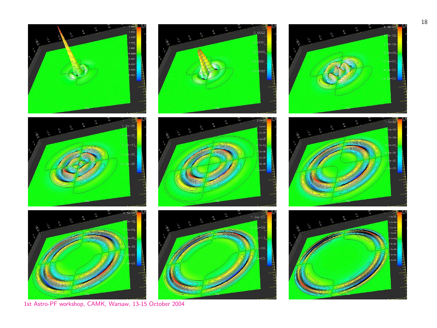















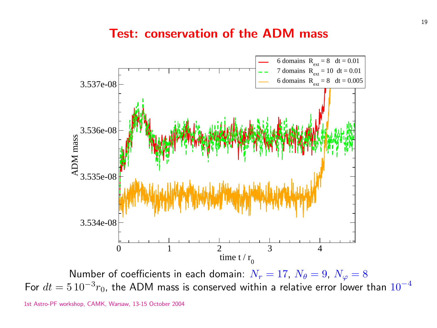#### Test: conservation of the ADM mass



Number of coefficients in each domain:  $N_r = 17$ ,  $N_\theta = 9$ ,  $N_\varphi = 8$ For  $dt = 5\,10^{-3}r_0$ , the ADM mass is conserved within a relative error lower than  $10^{-4}$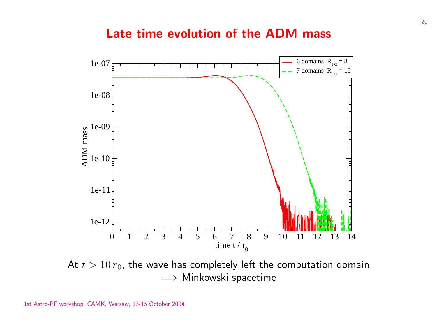

At  $t > 10 r_0$ , the wave has completely left the computation domain  $\implies$  **Minkowski spacetime**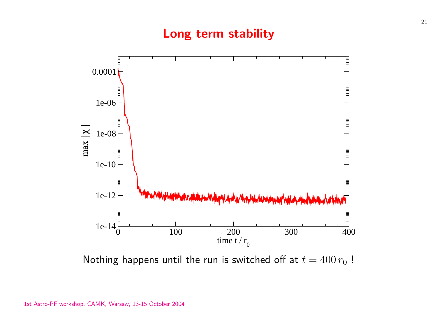#### Long term stability



Nothing happens until the run is switched off at  $t = 400 r_0$ !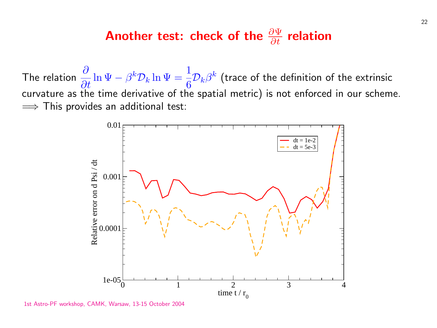## Another test: check of the  $\frac{\partial \Psi}{\partial t}$  relation

The relation  $\frac{\partial}{\partial x}$  $\frac{\partial}{\partial t} \ln \Psi - \beta$  ${}^{k}\mathcal{D}_{k}\ln \Psi =\frac{1}{c}% {\textstyle\sum\nolimits_{k}} \left[ \frac{\left\vert k\right\vert ^{2}}{\left\vert k\right\vert ^{2}}\right] ^{k}\left[ \frac{\left\vert k\right\vert ^{2}}{\left\vert k\right\vert ^{2}}\right] ^{2}e^{-\frac{1}{2}\left\vert k\right\vert ^{2}}. \label{eq-3.11}%$ 6  $\mathcal{D}_k \beta^k$  (trace of the definition of the extrinsic curvature as the time derivative of the spatial metric) is not enforced in our scheme.  $\implies$  This provides an additional test:

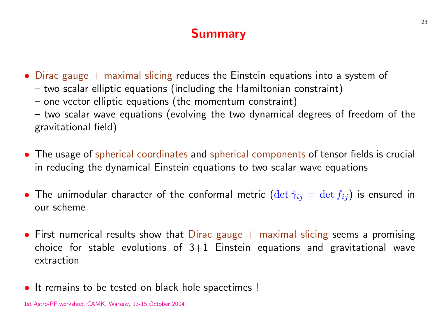## Summary

- Dirac gauge  $+$  maximal slicing reduces the Einstein equations into a system of
	- two scalar elliptic equations (including the Hamiltonian constraint)
	- one vector elliptic equations (the momentum constraint)
	- two scalar wave equations (evolving the two dynamical degrees of freedom of the gravitational field)
- The usage of spherical coordinates and spherical components of tensor fields is crucial in reducing the dynamical Einstein equations to two scalar wave equations
- The unimodular character of the conformal metric  $(\det \tilde{\gamma}_{ij} = \det f_{ij})$  is ensured in our scheme
- First numerical results show that Dirac gauge  $+$  maximal slicing seems a promising choice for stable evolutions of  $3+1$  Einstein equations and gravitational wave extraction
- It remains to be tested on black hole spacetimes !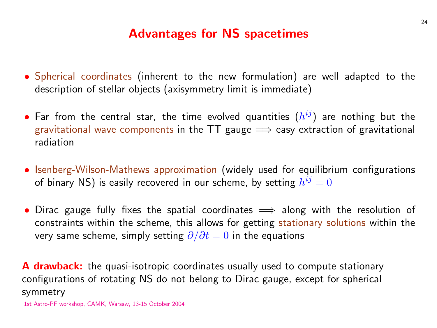## Advantages for NS spacetimes

- Spherical coordinates (inherent to the new formulation) are well adapted to the description of stellar objects (axisymmetry limit is immediate)
- Far from the central star, the time evolved quantities  $(h^{ij})$  are nothing but the gravitational wave components in the  $TT$  gauge  $\implies$  easy extraction of gravitational radiation
- Isenberg-Wilson-Mathews approximation (widely used for equilibrium configurations of binary NS) is easily recovered in our scheme, by setting  $h^{ij}=0$
- Dirac gauge fully fixes the spatial coordinates  $\implies$  along with the resolution of constraints within the scheme, this allows for getting stationary solutions within the very same scheme, simply setting  $\partial/\partial t = 0$  in the equations

A drawback: the quasi-isotropic coordinates usually used to compute stationary configurations of rotating NS do not belong to Dirac gauge, except for spherical symmetry